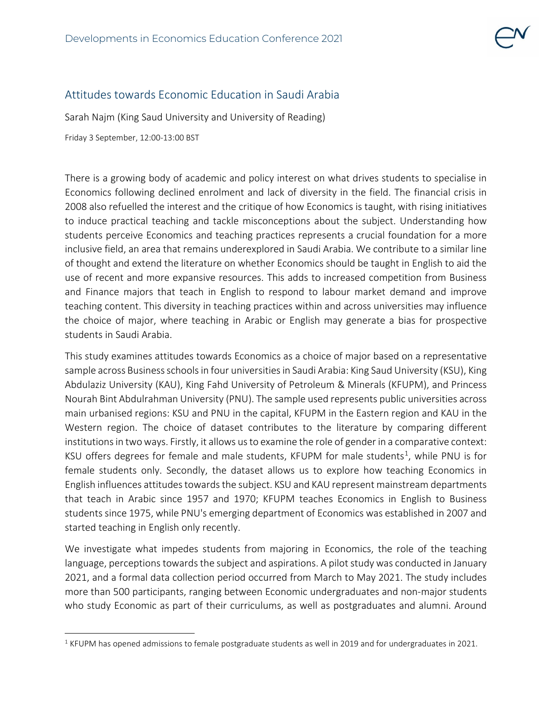## Attitudes towards Economic Education in Saudi Arabia

Sarah Najm (King Saud University and University of Reading)

Friday 3 September, 12:00-13:00 BST

There is a growing body of academic and policy interest on what drives students to specialise in Economics following declined enrolment and lack of diversity in the field. The financial crisis in 2008 also refuelled the interest and the critique of how Economics is taught, with rising initiatives to induce practical teaching and tackle misconceptions about the subject. Understanding how students perceive Economics and teaching practices represents a crucial foundation for a more inclusive field, an area that remains underexplored in Saudi Arabia. We contribute to a similar line of thought and extend the literature on whether Economics should be taught in English to aid the use of recent and more expansive resources. This adds to increased competition from Business and Finance majors that teach in English to respond to labour market demand and improve teaching content. This diversity in teaching practices within and across universities may influence the choice of major, where teaching in Arabic or English may generate a bias for prospective students in Saudi Arabia.

This study examines attitudes towards Economics as a choice of major based on a representative sample across Business schools in four universities in Saudi Arabia: King Saud University (KSU), King Abdulaziz University (KAU), King Fahd University of Petroleum & Minerals (KFUPM), and Princess Nourah Bint Abdulrahman University (PNU). The sample used represents public universities across main urbanised regions: KSU and PNU in the capital, KFUPM in the Eastern region and KAU in the Western region. The choice of dataset contributes to the literature by comparing different institutions in two ways. Firstly, it allows us to examine the role of gender in a comparative context: KSU offers degrees for female and male students, KFUPM for male students<sup>[1](#page-0-0)</sup>, while PNU is for female students only. Secondly, the dataset allows us to explore how teaching Economics in English influences attitudes towards the subject. KSU and KAU represent mainstream departments that teach in Arabic since 1957 and 1970; KFUPM teaches Economics in English to Business students since 1975, while PNU's emerging department of Economics was established in 2007 and started teaching in English only recently.

We investigate what impedes students from majoring in Economics, the role of the teaching language, perceptions towards the subject and aspirations. A pilot study was conducted in January 2021, and a formal data collection period occurred from March to May 2021. The study includes more than 500 participants, ranging between Economic undergraduates and non-major students who study Economic as part of their curriculums, as well as postgraduates and alumni. Around

<span id="page-0-0"></span> $1$  KFUPM has opened admissions to female postgraduate students as well in 2019 and for undergraduates in 2021.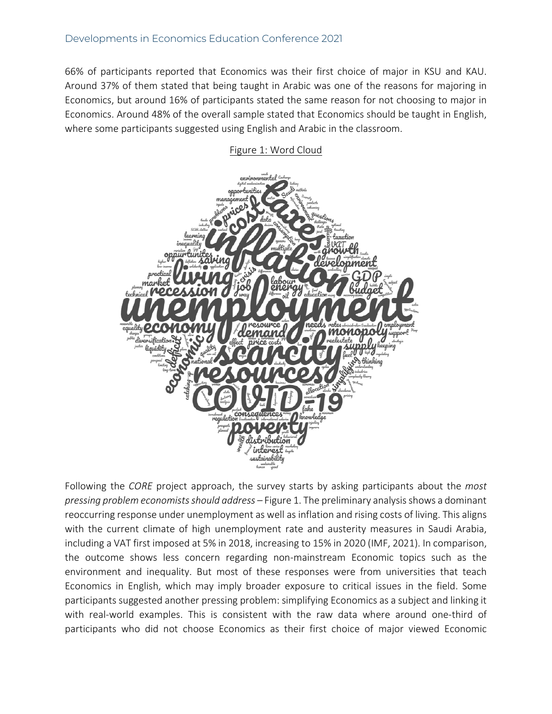66% of participants reported that Economics was their first choice of major in KSU and KAU. Around 37% of them stated that being taught in Arabic was one of the reasons for majoring in Economics, but around 16% of participants stated the same reason for not choosing to major in Economics. Around 48% of the overall sample stated that Economics should be taught in English, where some participants suggested using English and Arabic in the classroom.



## Figure 1: Word Cloud

Following the *CORE* project approach, the survey starts by asking participants about the *most pressing problem economistsshould address –* Figure 1. The preliminary analysisshows a dominant reoccurring response under unemployment as well as inflation and rising costs of living. This aligns with the current climate of high unemployment rate and austerity measures in Saudi Arabia, including a VAT first imposed at 5% in 2018, increasing to 15% in 2020 (IMF, 2021). In comparison, the outcome shows less concern regarding non-mainstream Economic topics such as the environment and inequality. But most of these responses were from universities that teach Economics in English, which may imply broader exposure to critical issues in the field. Some participants suggested another pressing problem: simplifying Economics as a subject and linking it with real-world examples. This is consistent with the raw data where around one-third of participants who did not choose Economics as their first choice of major viewed Economic